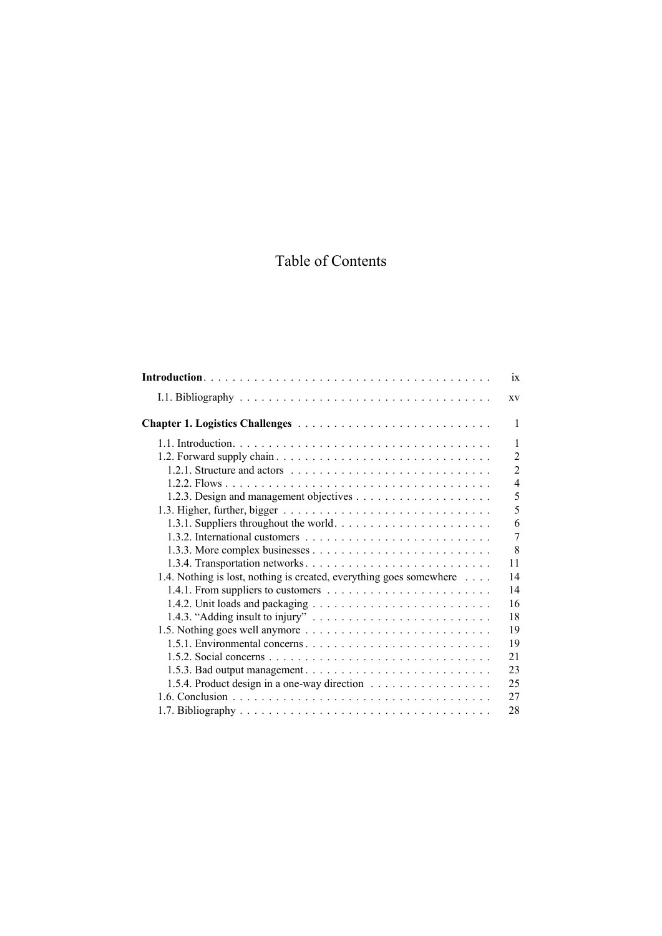## Table of Contents

|                                                                     | 1X             |
|---------------------------------------------------------------------|----------------|
|                                                                     | XV             |
|                                                                     | 1              |
|                                                                     | 1              |
|                                                                     | $\overline{2}$ |
|                                                                     | $\overline{2}$ |
|                                                                     | $\overline{4}$ |
|                                                                     | 5              |
|                                                                     | 5              |
|                                                                     | 6              |
|                                                                     | $\overline{7}$ |
|                                                                     | 8              |
|                                                                     | 11             |
| 1.4. Nothing is lost, nothing is created, everything goes somewhere | 14             |
|                                                                     | 14             |
|                                                                     | 16             |
|                                                                     | 18             |
|                                                                     | 19             |
|                                                                     | 19             |
|                                                                     | 21             |
|                                                                     | 23             |
| 1.5.4. Product design in a one-way direction                        | 25             |
|                                                                     | 27             |
|                                                                     | 28             |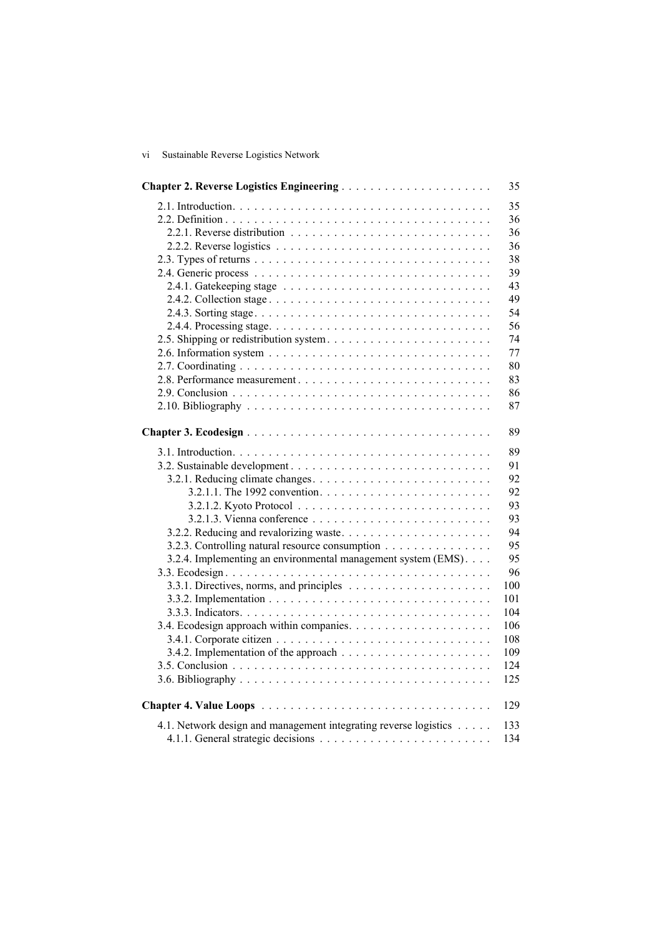| vi | Sustainable Reverse Logistics Network |  |  |
|----|---------------------------------------|--|--|
|    |                                       |  |  |

|                                                                  | 35  |
|------------------------------------------------------------------|-----|
|                                                                  | 35  |
|                                                                  | 36  |
|                                                                  | 36  |
|                                                                  | 36  |
|                                                                  | 38  |
|                                                                  | 39  |
|                                                                  | 43  |
|                                                                  | 49  |
|                                                                  | 54  |
|                                                                  | 56  |
|                                                                  | 74  |
|                                                                  | 77  |
|                                                                  | 80  |
|                                                                  | 83  |
|                                                                  | 86  |
|                                                                  | 87  |
|                                                                  |     |
|                                                                  | 89  |
|                                                                  | 89  |
|                                                                  | 91  |
|                                                                  | 92  |
|                                                                  | 92  |
|                                                                  | 93  |
|                                                                  | 93  |
|                                                                  | 94  |
| 3.2.3. Controlling natural resource consumption                  | 95  |
| 3.2.4. Implementing an environmental management system (EMS).    | 95  |
|                                                                  | 96  |
|                                                                  | 100 |
|                                                                  | 101 |
|                                                                  | 104 |
|                                                                  | 106 |
|                                                                  | 108 |
|                                                                  | 109 |
|                                                                  | 124 |
|                                                                  | 125 |
|                                                                  | 129 |
| 4.1. Network design and management integrating reverse logistics | 133 |
|                                                                  | 134 |